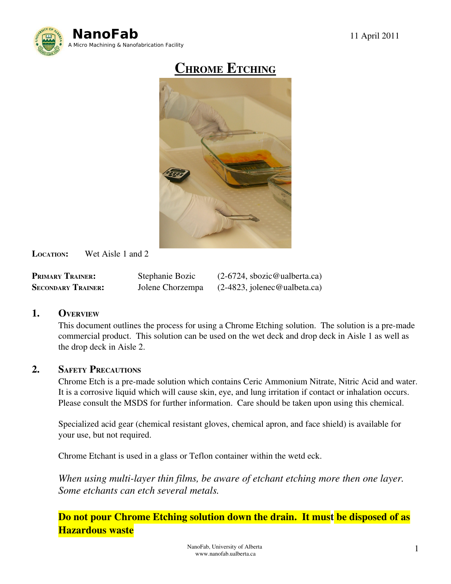

# CHROME ETCHING



LOCATION: Wet Aisle 1 and 2

| <b>PRIMARY TRAINER:</b>   | Stephanie Bozic  | $(2-6724,$ sbozic@ualberta.ca) |
|---------------------------|------------------|--------------------------------|
| <b>SECONDARY TRAINER:</b> | Jolene Chorzempa | $(2-4823,$ jolenec@ualbeta.ca) |

## 1. OVERVIEW

This document outlines the process for using a Chrome Etching solution. The solution is a pre-made commercial product. This solution can be used on the wet deck and drop deck in Aisle 1 as well as the drop deck in Aisle 2.

#### 2. SAFETY PRECAUTIONS

Chrome Etch is a pre-made solution which contains Ceric Ammonium Nitrate, Nitric Acid and water. It is a corrosive liquid which will cause skin, eye, and lung irritation if contact or inhalation occurs. Please consult the MSDS for further information. Care should be taken upon using this chemical.

Specialized acid gear (chemical resistant gloves, chemical apron, and face shield) is available for your use, but not required.

Chrome Etchant is used in a glass or Teflon container within the wetd eck.

*When using multi-layer thin films, be aware of etchant etching more then one layer. Some etchants can etch several metals.*

Do not pour Chrome Etching solution down the drain. It must be disposed of as Hazardous waste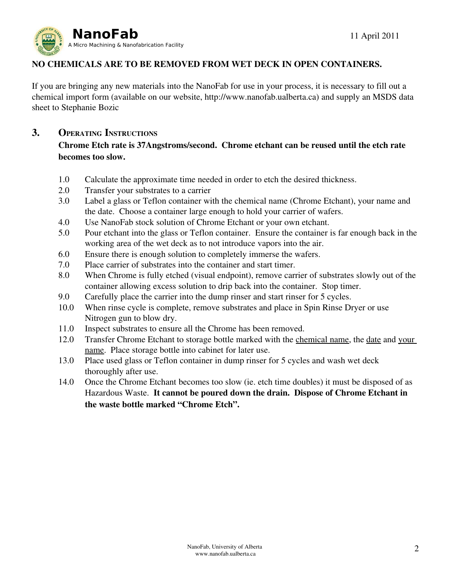

## NO CHEMICALS ARE TO BE REMOVED FROM WET DECK IN OPEN CONTAINERS.

If you are bringing any new materials into the NanoFab for use in your process, it is necessary to fill out a chemical import form (available on our website, http://www.nanofab.ualberta.ca) and supply an MSDS data sheet to Stephanie Bozic

## 3. OPERATING INSTRUCTIONS

## Chrome Etch rate is 37Angstroms/second. Chrome etchant can be reused until the etch rate becomes too slow.

- 1.0 Calculate the approximate time needed in order to etch the desired thickness.
- 2.0 Transfer your substrates to a carrier
- 3.0 Label a glass or Teflon container with the chemical name (Chrome Etchant), your name and the date. Choose a container large enough to hold your carrier of wafers.
- 4.0 Use NanoFab stock solution of Chrome Etchant or your own etchant.
- 5.0 Pour etchant into the glass or Teflon container. Ensure the container is far enough back in the working area of the wet deck as to not introduce vapors into the air.
- 6.0 Ensure there is enough solution to completely immerse the wafers.
- 7.0 Place carrier of substrates into the container and start timer.
- 8.0 When Chrome is fully etched (visual endpoint), remove carrier of substrates slowly out of the container allowing excess solution to drip back into the container. Stop timer.
- 9.0 Carefully place the carrier into the dump rinser and start rinser for 5 cycles.
- 10.0 When rinse cycle is complete, remove substrates and place in Spin Rinse Dryer or use Nitrogen gun to blow dry.
- 11.0 Inspect substrates to ensure all the Chrome has been removed.
- 12.0 Transfer Chrome Etchant to storage bottle marked with the chemical name, the date and your name. Place storage bottle into cabinet for later use.
- 13.0 Place used glass or Teflon container in dump rinser for 5 cycles and wash wet deck thoroughly after use.
- 14.0 Once the Chrome Etchant becomes too slow (ie. etch time doubles) it must be disposed of as Hazardous Waste. It cannot be poured down the drain. Dispose of Chrome Etchant in the waste bottle marked "Chrome Etch".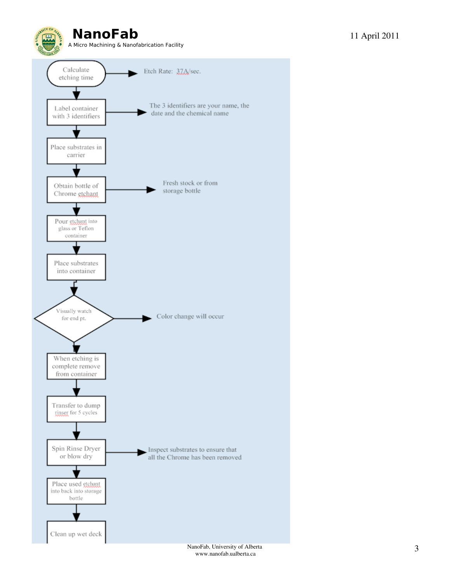